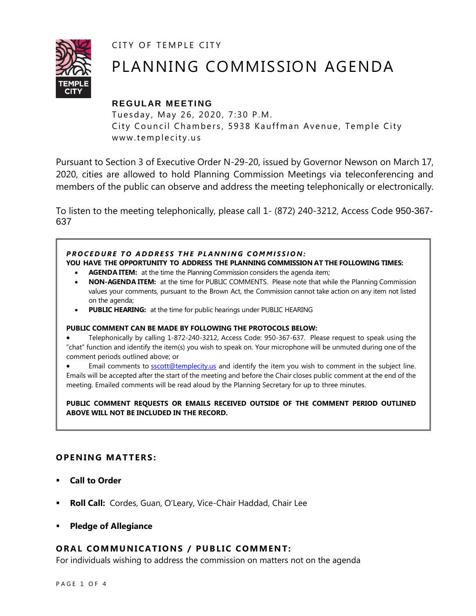CITY OF TEMPLE CITY



# PLANNING COMMISSION AGENDA

## **REGULAR MEETING**

Tuesday, May 26, 2020, 7:30 P.M. City Council Chambers, 5938 Kauffman Avenue, Temple City www.templecity.us

Pursuant to Section 3 of Executive Order N-29-20, issued by Governor Newson on March 17, 2020, cities are allowed to hold Planning Commission Meetings via teleconferencing and members of the public can observe and address the meeting telephonically or electronically.

To listen to the meeting telephonically, please call 1- (872) 240-3212, Access Code 950-367- 637

## **PROCEDURE TO ADDRESS THE PLANNING COMMISSION:**

**YOU HAVE THE OPPORTUNITY TO ADDRESS THE PLANNING COMMISSION AT THE FOLLOWING TIMES:**

- **AGENDA ITEM:** at the time the Planning Commission considers the agenda item;
- **NON-AGENDA ITEM:** at the time for PUBLIC COMMENTS. Please note that while the Planning Commission values your comments, pursuant to the Brown Act, the Commission cannot take action on any item not listed on the agenda;
- **PUBLIC HEARING:** at the time for public hearings under PUBLIC HEARING

#### **PUBLIC COMMENT CAN BE MADE BY FOLLOWING THE PROTOCOLS BELOW:**

 Telephonically by calling 1-872-240-3212, Access Code: 950-367-637. Please request to speak using the "chat" function and identify the item(s) you wish to speak on. Your microphone will be unmuted during one of the comment periods outlined above; or

Email comments to [sscott@templecity.us](mailto:sscott@templecity.us) and identify the item you wish to comment in the subject line. Emails will be accepted after the start of the meeting and before the Chair closes public comment at the end of the meeting. Emailed comments will be read aloud by the Planning Secretary for up to three minutes.

**PUBLIC COMMENT REQUESTS OR EMAILS RECEIVED OUTSIDE OF THE COMMENT PERIOD OUTLINED ABOVE WILL NOT BE INCLUDED IN THE RECORD.**

## **OPENING MATTERS:**

- **Call to Order**
- **Roll Call:** Cordes, Guan, O'Leary, Vice-Chair Haddad, Chair Lee
- **Pledge of Allegiance**

#### **ORAL COMMUNICATIONS / PUBLIC COMMENT:**

For individuals wishing to address the commission on matters not on the agenda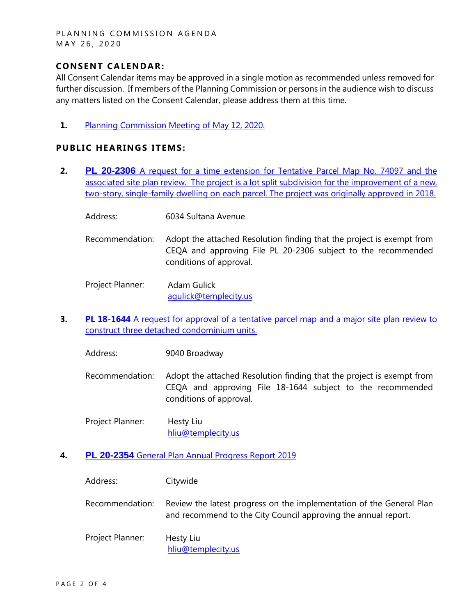PLANNING COMMISSION AGENDA MAY 26, 2020

#### **CONSENT CA LENDAR:**

All Consent Calendar items may be approved in a single motion as recommended unless removed for further discussion. If members of the Planning Commission or persons in the audience wish to discuss any matters listed on the Consent Calendar, please address them at this time.

**1.** [Planning Commission Meeting of](https://www.ci.temple-city.ca.us/DocumentCenter/View/14493/PCM-051220) May 12, 2020.

#### **PUBLIC HEARINGS ITEMS:**

- **2. PL 20-2306** [A request for a time extension for Tentative Parcel Map No. 74097 and the](https://www.ci.temple-city.ca.us/DocumentCenter/View/14503/PL-16-042-6034-Sultana-Ave-attachement-2)  [associated site plan review. The project is a lot split subdivision for the improvement of a new,](https://www.ci.temple-city.ca.us/DocumentCenter/View/14503/PL-16-042-6034-Sultana-Ave-attachement-2)  [two-story, single-family dwelling on each parcel. The project was originally approved in 2018.](https://www.ci.temple-city.ca.us/DocumentCenter/View/14503/PL-16-042-6034-Sultana-Ave-attachement-2)
	- Address: 6034 Sultana Avenue
	- Recommendation: Adopt the attached Resolution finding that the project is exempt from CEQA and approving File PL 20-2306 subject to the recommended conditions of approval.

Project Planner: Adam Gulick [agulick@templecity.us](mailto:agulick@templecity.us)

**3. PL 18-1644** A request for approval of a tentative parcel map and a major site plan review to [construct three detached condominium units](https://www.ci.temple-city.ca.us/DocumentCenter/View/14487/PL-18-1644--9040-Broadway-Ave-attachemnt-1).

Address: 9040 Broadway

- Recommendation: Adopt the attached Resolution finding that the project is exempt from CEQA and approving File 18-1644 subject to the recommended conditions of approval.
- Project Planner: Hesty Liu [hliu@templecity.us](mailto:hliu@templecity.us)
- **4. PL 20-2354** [General Plan Annual Progress Report 2019](https://www.ci.temple-city.ca.us/DocumentCenter/View/14504/PL-2354-Citywide-attachment-3)

| Address:         | Citywide                                                                                                                               |
|------------------|----------------------------------------------------------------------------------------------------------------------------------------|
| Recommendation:  | Review the latest progress on the implementation of the General Plan<br>and recommend to the City Council approving the annual report. |
| Project Planner: | Hesty Liu<br>hliu@templecity.us                                                                                                        |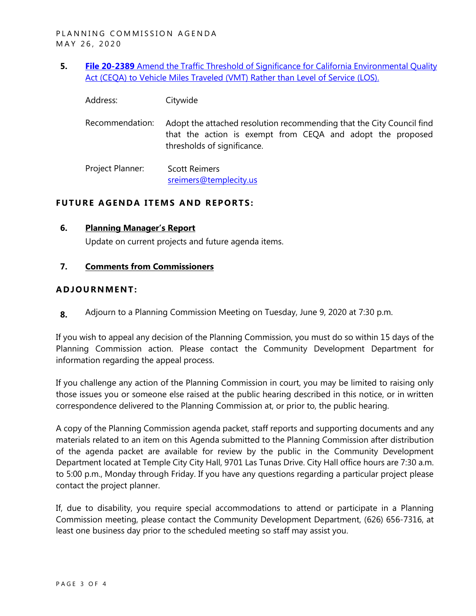- **5. File 20-2389** [Amend the Traffic Threshold of Significance for California Environmental Quality](https://www.ci.temple-city.ca.us/DocumentCenter/View/14495/PL-20-2389-Citywide-attachment-4)  [Act \(CEQA\) to Vehicle Miles Traveled \(VMT\) Rather than Level of Service \(LOS\).](https://www.ci.temple-city.ca.us/DocumentCenter/View/14495/PL-20-2389-Citywide-attachment-4)
	- Address: Citywide
	- Recommendation: Adopt the attached resolution recommending that the City Council find that the action is exempt from CEQA and adopt the proposed thresholds of significance.

Project Planner: Scott Reimers [sreimers@templecity.us](mailto:sreimers@templecity.us)

### **FUTURE AGENDA ITEMS AND REPORTS:**

#### **6. Planning Manager's Report**

Update on current projects and future agenda items.

#### **7. Comments from Commissioners**

#### **ADJOU RNMENT:**

**8.** Adjourn to a Planning Commission Meeting on Tuesday, June 9, 2020 at 7:30 p.m.

If you wish to appeal any decision of the Planning Commission, you must do so within 15 days of the Planning Commission action. Please contact the Community Development Department for information regarding the appeal process.

If you challenge any action of the Planning Commission in court, you may be limited to raising only those issues you or someone else raised at the public hearing described in this notice, or in written correspondence delivered to the Planning Commission at, or prior to, the public hearing.

A copy of the Planning Commission agenda packet, staff reports and supporting documents and any materials related to an item on this Agenda submitted to the Planning Commission after distribution of the agenda packet are available for review by the public in the Community Development Department located at Temple City City Hall, 9701 Las Tunas Drive. City Hall office hours are 7:30 a.m. to 5:00 p.m., Monday through Friday. If you have any questions regarding a particular project please contact the project planner.

If, due to disability, you require special accommodations to attend or participate in a Planning Commission meeting, please contact the Community Development Department, (626) 656-7316, at least one business day prior to the scheduled meeting so staff may assist you.